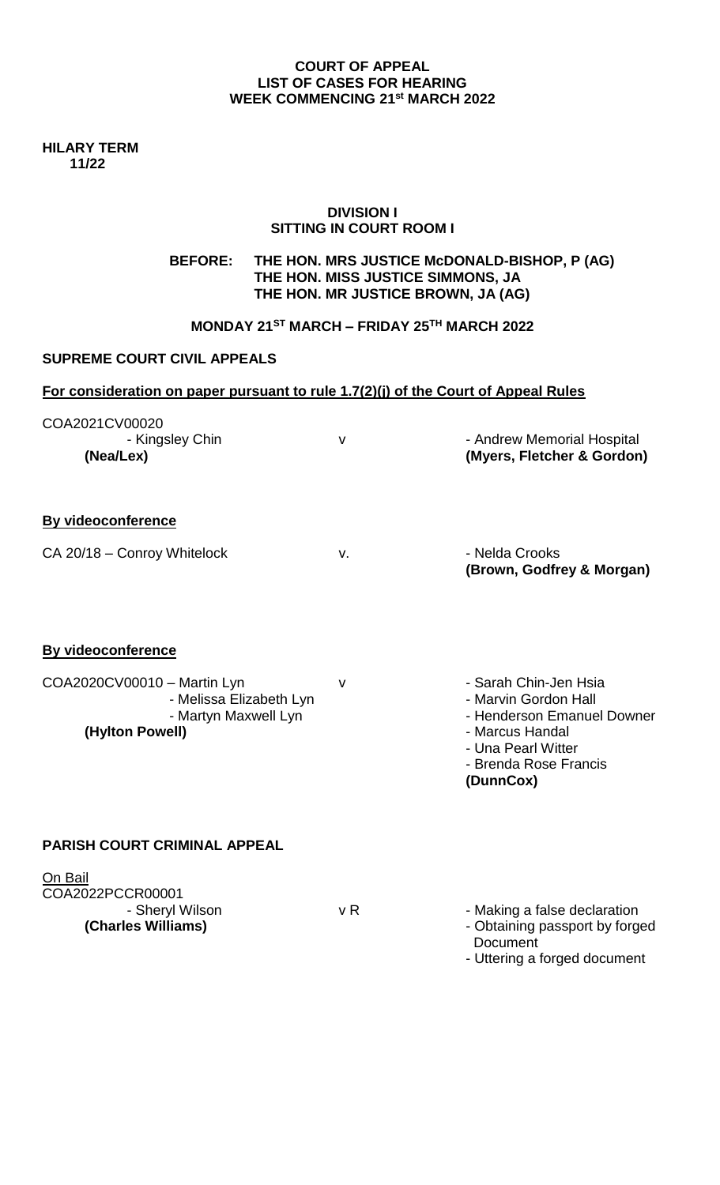#### **COURT OF APPEAL LIST OF CASES FOR HEARING WEEK COMMENCING 21st MARCH 2022**

**HILARY TERM 11/22**

#### **DIVISION I SITTING IN COURT ROOM I**

**BEFORE: THE HON. MRS JUSTICE McDONALD-BISHOP, P (AG) THE HON. MISS JUSTICE SIMMONS, JA THE HON. MR JUSTICE BROWN, JA (AG)**

# **MONDAY 21ST MARCH – FRIDAY 25TH MARCH 2022**

#### **SUPREME COURT CIVIL APPEALS**

### **For consideration on paper pursuant to rule 1.7(2)(j) of the Court of Appeal Rules**

| COA2021CV00020<br>- Kingsley Chin<br>(Nea/Lex)                                                                                 | $\vee$ | - Andrew Memorial Hospital<br>(Myers, Fletcher & Gordon)                                                                                                   |
|--------------------------------------------------------------------------------------------------------------------------------|--------|------------------------------------------------------------------------------------------------------------------------------------------------------------|
| <b>By videoconference</b><br>CA 20/18 - Conroy Whitelock                                                                       | v.     | - Nelda Crooks<br>(Brown, Godfrey & Morgan)                                                                                                                |
| <b>By videoconference</b><br>COA2020CV00010 - Martin Lyn<br>- Melissa Elizabeth Lyn<br>- Martyn Maxwell Lyn<br>(Hylton Powell) | $\vee$ | - Sarah Chin-Jen Hsia<br>- Marvin Gordon Hall<br>- Henderson Emanuel Downer<br>- Marcus Handal<br>- Una Pearl Witter<br>- Brenda Rose Francis<br>(DunnCox) |
| <b>PARISH COURT CRIMINAL APPEAL</b>                                                                                            |        |                                                                                                                                                            |
| On Bail<br>COA2022PCCR00001                                                                                                    |        |                                                                                                                                                            |

| COA2022PCCR00001   |     |                                |
|--------------------|-----|--------------------------------|
| - Sheryl Wilson    | v R | - Making a false declaration   |
| (Charles Williams) |     | - Obtaining passport by forged |
|                    |     |                                |

 Document - Uttering a forged document